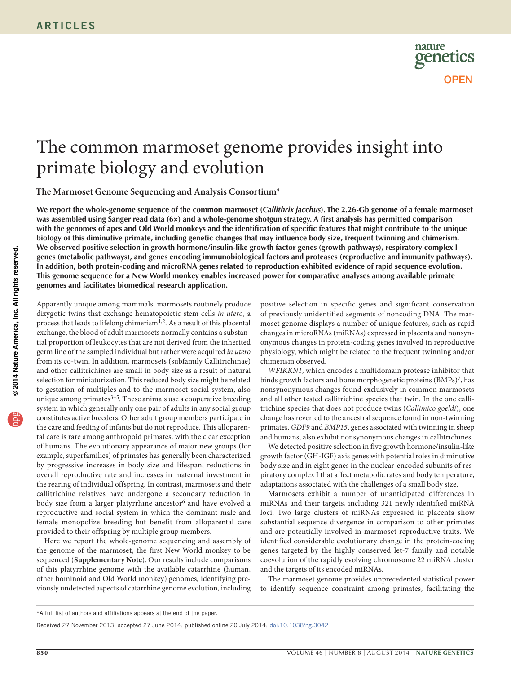

# The common marmoset genome provides insight into primate biology and evolution

**The Marmoset Genome Sequencing and Analysis Consortium\*** 

We report the whole-genome sequence of the common marmoset (Callithrix jacchus). The 2.26-Gb genome of a female marmoset was assembled using Sanger read data (6x) and a whole-genome shotgun strategy. A first analysis has permitted comparison with the genomes of apes and Old World monkeys and the identification of specific features that might contribute to the unique biology of this diminutive primate, including genetic changes that may influence body size, frequent twinning and chimerism. We observed positive selection in growth hormone/insulin-like growth factor genes (growth pathways), respiratory complex I **genes (metabolic pathways), and genes encoding immunobiological factors and proteases (reproductive and immunity pathways).** In addition, both protein-coding and microRNA genes related to reproduction exhibited evidence of rapid sequence evolution. This genome sequence for a New World monkey enables increased power for comparative analyses among available primate **genomes and facilitates biomedical research application.**

Apparently unique among mammals, marmosets routinely produce dizygotic twins that exchange hematopoietic stem cells *in utero*, a process that leads to lifelong chimerism<sup>[1,](#page-5-0)[2](#page-5-1)</sup>. As a result of this placental exchange, the blood of adult marmosets normally contains a substantial proportion of leukocytes that are not derived from the inherited germ line of the sampled individual but rather were acquired *in utero* from its co-twin. In addition, marmosets (subfamily Callitrichinae) and other callitrichines are small in body size as a result of natural selection for miniaturization. This reduced body size might be related to gestation of multiples and to the marmoset social system, also unique among primates<sup>3-[5](#page-5-3)</sup>. These animals use a cooperative breeding system in which generally only one pair of adults in any social group constitutes active breeders. Other adult group members participate in the care and feeding of infants but do not reproduce. This alloparental care is rare among anthropoid primates, with the clear exception of humans. The evolutionary appearance of major new groups (for example, superfamilies) of primates has generally been characterized by progressive increases in body size and lifespan, reductions in overall reproductive rate and increases in maternal investment in the rearing of individual offspring. In contrast, marmosets and their callitrichine relatives have undergone a secondary reduction in body size from a larger platyrrhine ancestor<sup>[6](#page-5-4)</sup> and have evolved a reproductive and social system in which the dominant male and female monopolize breeding but benefit from alloparental care provided to their offspring by multiple group members.

Here we report the whole-genome sequencing and assembly of the genome of the marmoset, the first New World monkey to be sequenced (**Supplementary Note**). Our results include comparisons of this platyrrhine genome with the available catarrhine (human, other hominoid and Old World monkey) genomes, identifying previously undetected aspects of catarrhine genome evolution, including

positive selection in specific genes and significant conservation of previously unidentified segments of noncoding DNA. The marmoset genome displays a number of unique features, such as rapid changes in microRNAs (miRNAs) expressed in placenta and nonsynonymous changes in protein-coding genes involved in reproductive physiology, which might be related to the frequent twinning and/or chimerism observed.

*WFIKKN1*, which encodes a multidomain protease inhibitor that binds growth factors and bone morphogenetic proteins (BMPs)<sup>[7](#page-5-5)</sup>, has nonsynonymous changes found exclusively in common marmosets and all other tested callitrichine species that twin. In the one callitrichine species that does not produce twins (*Callimico goeldi*), one change has reverted to the ancestral sequence found in non-twinning primates. *GDF9* and *BMP15*, genes associated with twinning in sheep and humans, also exhibit nonsynonymous changes in callitrichines.

We detected positive selection in five growth hormone/insulin-like growth factor (GH-IGF) axis genes with potential roles in diminutive body size and in eight genes in the nuclear-encoded subunits of respiratory complex I that affect metabolic rates and body temperature, adaptations associated with the challenges of a small body size.

Marmosets exhibit a number of unanticipated differences in miRNAs and their targets, including 321 newly identified miRNA loci. Two large clusters of miRNAs expressed in placenta show substantial sequence divergence in comparison to other primates and are potentially involved in marmoset reproductive traits. We identified considerable evolutionary change in the protein-coding genes targeted by the highly conserved let-7 family and notable coevolution of the rapidly evolving chromosome 22 miRNA cluster and the targets of its encoded miRNAs.

The marmoset genome provides unprecedented statistical power to identify sequence constraint among primates, facilitating the

Received 27 November 2013; accepted 27 June 2014; published online 20 July 2014; [doi:10.1038/ng.3042](http://www.nature.com/doifinder/10.1038/ng.3042)

<sup>\*</sup>A full list of authors and affiliations appears at the end of the paper.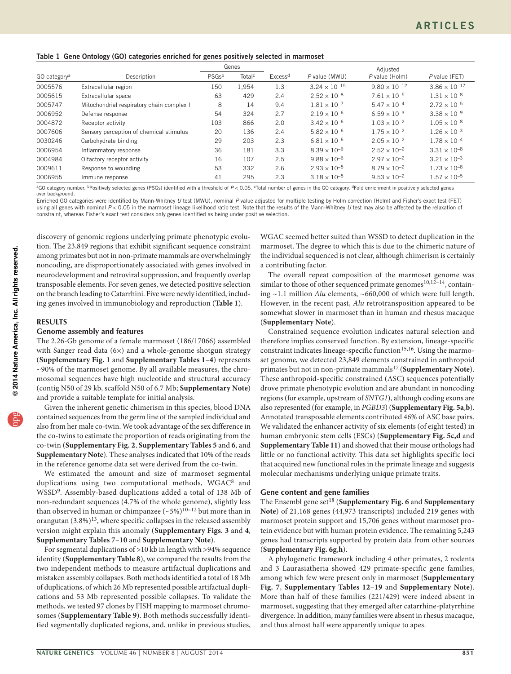#### <span id="page-1-0"></span>Table 1 Gene Ontology (GO) categories enriched for genes positively selected in marmoset

|                            |                                           | Genes             |                    |                     |                        | Adjusted               |                        |
|----------------------------|-------------------------------------------|-------------------|--------------------|---------------------|------------------------|------------------------|------------------------|
| $GO$ category <sup>a</sup> | Description                               | PSGs <sup>b</sup> | Total <sup>c</sup> | Excess <sup>d</sup> | P value (MWU)          | P value (Holm)         | P value (FET)          |
| 0005576                    | Extracellular region                      | 150               | 1,954              | 1.3                 | $3.24 \times 10^{-15}$ | $9.80 \times 10^{-12}$ | $3.86 \times 10^{-17}$ |
| 0005615                    | Extracellular space                       | 63                | 429                | 2.4                 | $2.52 \times 10^{-8}$  | $7.61 \times 10^{-5}$  | $1.31 \times 10^{-8}$  |
| 0005747                    | Mitochondrial respiratory chain complex I | 8                 | 14                 | 9.4                 | $1.81 \times 10^{-7}$  | $5.47 \times 10^{-4}$  | $2.72 \times 10^{-5}$  |
| 0006952                    | Defense response                          | 54                | 324                | 2.7                 | $2.19 \times 10^{-6}$  | $6.59 \times 10^{-3}$  | $3.38 \times 10^{-9}$  |
| 0004872                    | Receptor activity                         | 103               | 866                | 2.0                 | $3.42 \times 10^{-6}$  | $1.03 \times 10^{-2}$  | $1.05 \times 10^{-8}$  |
| 0007606                    | Sensory perception of chemical stimulus   | 20                | 136                | 2.4                 | $5.82 \times 10^{-6}$  | $1.75 \times 10^{-2}$  | $1.26 \times 10^{-3}$  |
| 0030246                    | Carbohydrate binding                      | 29                | 203                | 2.3                 | $6.81 \times 10^{-6}$  | $2.05 \times 10^{-2}$  | $1.78 \times 10^{-4}$  |
| 0006954                    | Inflammatory response                     | 36                | 181                | 3.3                 | $8.39 \times 10^{-6}$  | $2.52 \times 10^{-2}$  | $3.31 \times 10^{-8}$  |
| 0004984                    | Olfactory receptor activity               | 16                | 107                | 2.5                 | $9.88 \times 10^{-6}$  | $2.97 \times 10^{-2}$  | $3.21 \times 10^{-3}$  |
| 0009611                    | Response to wounding                      | 53                | 332                | 2.6                 | $2.93 \times 10^{-5}$  | $8.79 \times 10^{-2}$  | $1.73 \times 10^{-8}$  |
| 0006955                    | Immune response                           | 41                | 295                | 2.3                 | $3.18 \times 10^{-5}$  | $9.53 \times 10^{-2}$  | $1.57 \times 10^{-5}$  |

<sup>a</sup>GO category number. <sup>b</sup>Positively selected genes (PSGs) identified with a threshold of P < 0.05. "Total number of genes in the GO category. <sup>d</sup>Fold enrichment in positively selected genes over background.

Enriched GO categories were identified by Mann-Whitney *U* test (MWU), nominal *P* value adjusted for multiple testing by Holm correction (Holm) and Fisher's exact test (FET) using all genes with nominal  $P < 0.05$  in the marmoset lineage likelihood ratio test. Note that the results of the Mann-Whitney *U* test may also be affected by the relaxation of constraint, whereas Fisher's exact test considers only genes identified as being under positive selection.

discovery of genomic regions underlying primate phenotypic evolution. The 23,849 regions that exhibit significant sequence constraint among primates but not in non-primate mammals are overwhelmingly noncoding, are disproportionately associated with genes involved in neurodevelopment and retroviral suppression, and frequently overlap transposable elements. For seven genes, we detected positive selection on the branch leading to Catarrhini. Five were newly identified, including genes involved in immunobiology and reproduction (**[Table 1](#page-1-0)**).

#### **RESULTS**

#### **Genome assembly and features**

The 2.26-Gb genome of a female marmoset (186/17066) assembled with Sanger read data (6×) and a whole-genome shotgun strategy (**Supplementary Fig. 1** and **Supplementary Tables 1**–**4**) represents ~90% of the marmoset genome. By all available measures, the chromosomal sequences have high nucleotide and structural accuracy (contig N50 of 29 kb, scaffold N50 of 6.7 Mb; **Supplementary Note**) and provide a suitable template for initial analysis.

Given the inherent genetic chimerism in this species, blood DNA contained sequences from the germ line of the sampled individual and also from her male co-twin. We took advantage of the sex difference in the co-twins to estimate the proportion of reads originating from the co-twin (**Supplementary Fig. 2**, **Supplementary Tables 5** and **6**, and **Supplementary Note**). These analyses indicated that 10% of the reads in the reference genome data set were derived from the co-twin.

We estimated the amount and size of marmoset segmental duplications using two computational methods, WGAC<sup>[8](#page-6-0)</sup> and WSSD[9.](#page-6-1) Assembly-based duplications added a total of 138 Mb of non-redundant sequences (4.7% of the whole genome), slightly less than observed in human or chimpanzee  $({\sim}5\%)^{10-12}$  but more than in orangutan  $(3.8\%)$ <sup>13</sup>, where specific collapses in the released assembly version might explain this anomaly (**Supplementary Figs. 3** and **4**, **Supplementary Tables 7**–**10** and **Supplementary Note**).

For segmental duplications of >10 kb in length with >94% sequence identity (**Supplementary Table 8**), we compared the results from the two independent methods to measure artifactual duplications and mistaken assembly collapses. Both methods identified a total of 18 Mb of duplications, of which 26 Mb represented possible artifactual duplications and 53 Mb represented possible collapses. To validate the methods, we tested 97 clones by FISH mapping to marmoset chromosomes (**Supplementary Table 9**). Both methods successfully identified segmentally duplicated regions, and, unlike in previous studies,

WGAC seemed better suited than WSSD to detect duplication in the marmoset. The degree to which this is due to the chimeric nature of the individual sequenced is not clear, although chimerism is certainly a contributing factor.

The overall repeat composition of the marmoset genome was similar to those of other sequenced primate genomes $10,12-14$  $10,12-14$ , containing ~1.1 million *Alu* elements, ~660,000 of which were full length. However, in the recent past, *Alu* retrotransposition appeared to be somewhat slower in marmoset than in human and rhesus macaque (**Supplementary Note**).

Constrained sequence evolution indicates natural selection and therefore implies conserved function. By extension, lineage-specific constraint indicates lineage-specific function<sup>[15,](#page-6-6)[16](#page-6-7)</sup>. Using the marmoset genome, we detected 23,849 elements constrained in anthropoid primates but not in non-primate mammals[17](#page-6-8) (**Supplementary Note**). These anthropoid-specific constrained (ASC) sequences potentially drove primate phenotypic evolution and are abundant in noncoding regions (for example, upstream of *SNTG1*), although coding exons are also represented (for example, in *PGBD3*) (**Supplementary Fig. 5a**,**b**). Annotated transposable elements contributed 46% of ASC base pairs. We validated the enhancer activity of six elements (of eight tested) in human embryonic stem cells (ESCs) (**Supplementary Fig. 5c,d** and **Supplementary Table 11**) and showed that their mouse orthologs had little or no functional activity. This data set highlights specific loci that acquired new functional roles in the primate lineage and suggests molecular mechanisms underlying unique primate traits.

#### **Gene content and gene families**

The Ensembl gene set[18](#page-6-9) (**Supplementary Fig. 6** and **Supplementary Note**) of 21,168 genes (44,973 transcripts) included 219 genes with marmoset protein support and 15,706 genes without marmoset protein evidence but with human protein evidence. The remaining 5,243 genes had transcripts supported by protein data from other sources (**Supplementary Fig. 6g**,**h**).

A phylogenetic framework including 4 other primates, 2 rodents and 3 Laurasiatheria showed 429 primate-specific gene families, among which few were present only in marmoset (**Supplementary Fig. 7**, **Supplementary Tables 12**–**19** and **Supplementary Note**). More than half of these families (221/429) were indeed absent in marmoset, suggesting that they emerged after catarrhine-platyrrhine divergence. In addition, many families were absent in rhesus macaque, and thus almost half were apparently unique to apes.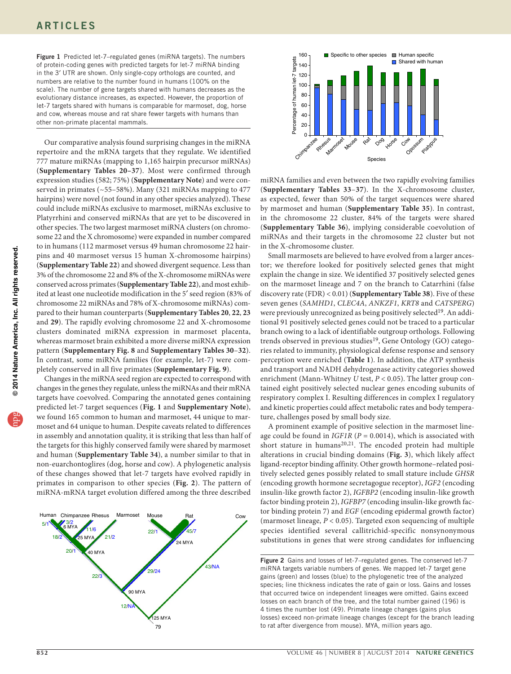<span id="page-2-0"></span>Figure 1 Predicted let-7–regulated genes (miRNA targets). The numbers<br>
of protein-coding genes with predicted targets for let-7 miRNA binding<br>
in the 3' UTR are shown. Only single-copy orthologs are counted, and<br>
scale). of protein-coding genes with predicted targets for let-7 miRNA binding in the 3′ UTR are shown. Only single-copy orthologs are counted, and numbers are relative to the number found in humans (100% on the scale). The number of gene targets shared with humans decreases as the evolutionary distance increases, as expected. However, the proportion of let-7 targets shared with humans is comparable for marmoset, dog, horse and cow, whereas mouse and rat share fewer targets with humans than other non-primate placental mammals.

Our comparative analysis found surprising changes in the miRNA repertoire and the mRNA targets that they regulate. We identified 777 mature miRNAs (mapping to 1,165 hairpin precursor miRNAs) (**Supplementary Tables 20–37**). Most were confirmed through expression studies (582; 75%) (**Supplementary Note**) and were conserved in primates (~55–58%). Many (321 miRNAs mapping to 477 hairpins) were novel (not found in any other species analyzed). These could include miRNAs exclusive to marmoset, miRNAs exclusive to Platyrrhini and conserved miRNAs that are yet to be discovered in other species. The two largest marmoset miRNA clusters (on chromosome 22 and the X chromosome) were expanded in number compared to in humans (112 marmoset versus 49 human chromosome 22 hairpins and 40 marmoset versus 15 human X-chromosome hairpins) (**Supplementary Table 22**) and showed divergent sequence. Less than 3% of the chromosome 22 and 8% of the X-chromosome miRNAs were conserved across primates (**Supplementary Table 22**), and most exhibited at least one nucleotide modification in the 5′ seed region (83% of chromosome 22 miRNAs and 78% of X-chromosome miRNAs) compared to their human counterparts (**Supplementary Tables 20**, **22**, **23**  and **29**). The rapidly evolving chromosome 22 and X-chromosome clusters dominated miRNA expression in marmoset placenta, whereas marmoset brain exhibited a more diverse miRNA expression pattern (**Supplementary Fig. 8** and **Supplementary Tables 30**–**32**). In contrast, some miRNA families (for example, let-7) were completely conserved in all five primates (**Supplementary Fig. 9**).

Changes in the miRNA seed region are expected to correspond with changes in the genes they regulate, unless the miRNAs and their mRNA targets have coevolved. Comparing the annotated genes containing predicted let-7 target sequences (**[Fig. 1](#page-2-0)** and **Supplementary Note**), we found 165 common to human and marmoset, 44 unique to marmoset and 64 unique to human. Despite caveats related to differences in assembly and annotation quality, it is striking that less than half of the targets for this highly conserved family were shared by marmoset and human (**Supplementary Table 34**), a number similar to that in non-euarchontoglires (dog, horse and cow). A phylogenetic analysis of these changes showed that let-7 targets have evolved rapidly in primates in comparison to other species (**[Fig. 2](#page-2-1)**). The pattern of miRNA-mRNA target evolution differed among the three described





miRNA families and even between the two rapidly evolving families (**Supplementary Tables 33**–**37**). In the X-chromosome cluster, as expected, fewer than 50% of the target sequences were shared by marmoset and human (**Supplementary Table 35**). In contrast, in the chromosome 22 cluster, 84% of the targets were shared (**Supplementary Table 36**), implying considerable coevolution of miRNAs and their targets in the chromosome 22 cluster but not in the X-chromosome cluster.

Small marmosets are believed to have evolved from a larger ancestor; we therefore looked for positively selected genes that might explain the change in size. We identified 37 positively selected genes on the marmoset lineage and 7 on the branch to Catarrhini (false discovery rate (FDR) < 0.01) (**Supplementary Table 38**). Five of these seven genes (*SAMHD1*, *CLEC4A*, *ANKZF1*, *KRT8* and *CATSPERG*) were previously unrecognized as being positively selected<sup>[19](#page-6-10)</sup>. An additional 91 positively selected genes could not be traced to a particular branch owing to a lack of identifiable outgroup orthologs. Following trends observed in previous studies<sup>19</sup>, Gene Ontology (GO) categories related to immunity, physiological defense response and sensory perception were enriched (**[Table 1](#page-1-0)**). In addition, the ATP synthesis and transport and NADH dehydrogenase activity categories showed enrichment (Mann-Whitney *U* test, *P* < 0.05). The latter group contained eight positively selected nuclear genes encoding subunits of respiratory complex I. Resulting differences in complex I regulatory and kinetic properties could affect metabolic rates and body temperature, challenges posed by small body size.

A prominent example of positive selection in the marmoset lineage could be found in *IGF1R* (*P* = 0.0014), which is associated with short stature in humans<sup>[20,](#page-6-11)21</sup>. The encoded protein had multiple alterations in crucial binding domains (**[Fig. 3](#page-3-0)**), which likely affect ligand-receptor binding affinity. Other growth hormone–related positively selected genes possibly related to small stature include *GHSR* (encoding growth hormone secretagogue receptor), *IGF2* (encoding insulin-like growth factor 2), *IGFBP2* (encoding insulin-like growth factor binding protein 2), *IGFBP7* (encoding insulin-like growth factor binding protein 7) and *EGF* (encoding epidermal growth factor) (marmoset lineage,  $P < 0.05$ ). Targeted exon sequencing of multiple species identified several callitrichid-specific nonsynonymous substitutions in genes that were strong candidates for influencing

<span id="page-2-1"></span>Figure 2 Gains and losses of let-7-regulated genes. The conserved let-7 miRNA targets variable numbers of genes. We mapped let-7 target gene gains (green) and losses (blue) to the phylogenetic tree of the analyzed species; line thickness indicates the rate of gain or loss. Gains and losses that occurred twice on independent lineages were omitted. Gains exceed losses on each branch of the tree, and the total number gained (196) is 4 times the number lost (49). Primate lineage changes (gains plus losses) exceed non-primate lineage changes (except for the branch leading to rat after divergence from mouse). MYA, million years ago.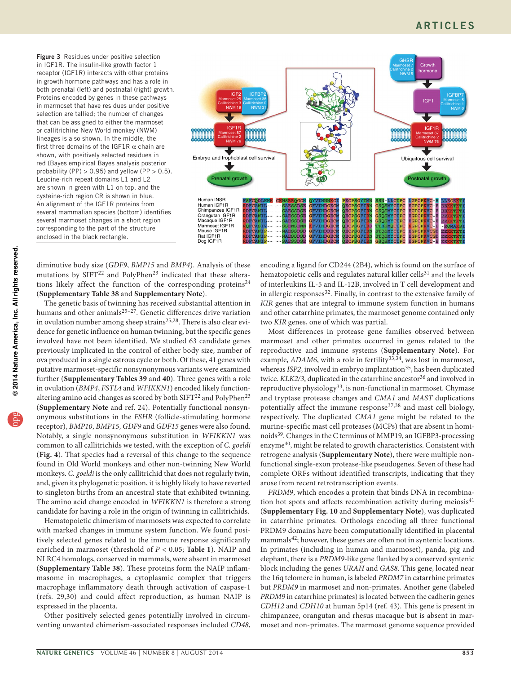<span id="page-3-0"></span>Figure 3 Residues under positive selection in IGF1R. The insulin-like growth factor 1 receptor (IGF1R) interacts with other proteins in growth hormone pathways and has a role in both prenatal (left) and postnatal (right) growth. Proteins encoded by genes in these pathways in marmoset that have residues under positive selection are tallied; the number of changes that can be assigned to either the marmoset or callitrichine New World monkey (NWM) lineages is also shown. In the middle, the first three domains of the IGF1R  $\alpha$  chain are shown, with positively selected residues in red (Bayes empirical Bayes analysis posterior probability (PP)  $> 0.95$ ) and yellow (PP  $> 0.5$ ). Leucine-rich repeat domains L1 and L2 are shown in green with L1 on top, and the cysteine-rich region CR is shown in blue. An alignment of the IGF1R proteins from several mammalian species (bottom) identifies several marmoset changes in a short region corresponding to the part of the structure enclosed in the black rectangle.



diminutive body size (*GDF9*, *BMP15* and *BMP4*). Analysis of these mutations by SIFT<sup>[22](#page-6-13)</sup> and PolyPhen<sup>23</sup> indicated that these altera-tions likely affect the function of the corresponding proteins<sup>[24](#page-6-15)</sup> (**Supplementary Table 38** and **Supplementary Note**).

The genetic basis of twinning has received substantial attention in humans and other animals<sup>25-[27](#page-6-17)</sup>. Genetic differences drive variation in ovulation number among sheep strains<sup>[25,](#page-6-16)[28](#page-6-18)</sup>. There is also clear evidence for genetic influence on human twinning, but the specific genes involved have not been identified. We studied 63 candidate genes previously implicated in the control of either body size, number of ova produced in a single estrous cycle or both. Of these, 41 genes with putative marmoset-specific nonsynonymous variants were examined further (**Supplementary Tables 39** and **40**). Three genes with a role in ovulation (*BMP4*, *FSTL4* and *WFIKKN1*) encoded likely function-altering amino acid changes as scored by both SIFT<sup>[22](#page-6-13)</sup> and PolyPhen<sup>[23](#page-6-14)</sup> (**Supplementary Note** and ref. [24\)](#page-6-15). Potentially functional nonsynonymous substitutions in the *FSHR* (follicle-stimulating hormone receptor), *BMP10*, *BMP15*, *GDF9* and *GDF15* genes were also found. Notably, a single nonsynonymous substitution in *WFIKKN1* was common to all callitrichids we tested, with the exception of *C. goeldi* (**Fig. 4**). That species had a reversal of this change to the sequence found in Old World monkeys and other non-twinning New World monkeys. *C. goeldi* is the only callitrichid that does not regularly twin, and, given its phylogenetic position, it is highly likely to have reverted to singleton births from an ancestral state that exhibited twinning. The amino acid change encoded in *WFIKKN1* is therefore a strong candidate for having a role in the origin of twinning in callitrichids.

Hematopoietic chimerism of marmosets was expected to correlate with marked changes in immune system function. We found positively selected genes related to the immune response significantly enriched in marmoset (threshold of *P* < 0.05; **[Table 1](#page-1-0)**). NAIP and NLRC4 homologs, conserved in mammals, were absent in marmoset (**Supplementary Table 38**). These proteins form the NAIP inflammasome in macrophages, a cytoplasmic complex that triggers macrophage inflammatory death through activation of caspase-1 (refs. [29,](#page-6-19)[30](#page-6-20)) and could affect reproduction, as human NAIP is expressed in the placenta.

Other positively selected genes potentially involved in circumventing unwanted chimerism-associated responses included *CD48*,

encoding a ligand for CD244 (2B4), which is found on the surface of hematopoietic cells and regulates natural killer cells<sup>[31](#page-6-21)</sup> and the levels of interleukins IL-5 and IL-12B, involved in T cell development and in allergic responses<sup>[32](#page-6-22)</sup>. Finally, in contrast to the extensive family of *KIR* genes that are integral to immune system function in humans and other catarrhine primates, the marmoset genome contained only two *KIR* genes, one of which was partial.

Most differences in protease gene families observed between marmoset and other primates occurred in genes related to the reproductive and immune systems (**Supplementary Note**). For example, *ADAM6*, with a role in fertility<sup>[33,](#page-6-23)34</sup>, was lost in marmoset, whereas *ISP2*, involved in embryo implantation<sup>35</sup>, has been duplicated twice. *KLK2/3*, duplicated in the catarrhine ancestor<sup>36</sup> and involved in reproductive physiology<sup>33</sup>, is non-functional in marmoset. Chymase and tryptase protease changes and *CMA1* and *MAST* duplications potentially affect the immune response<sup>[37,](#page-6-26)38</sup> and mast cell biology, respectively. The duplicated *CMA1* gene might be related to the murine-specific mast cell proteases (MCPs) that are absent in hominoid[s39.](#page-6-28) Changes in the C terminus of MMP19, an IGFBP3-processing enzyme<sup>[40](#page-6-29)</sup>, might be related to growth characteristics. Consistent with retrogene analysis (**Supplementary Note**), there were multiple nonfunctional single-exon protease-like pseudogenes. Seven of these had complete ORFs without identified transcripts, indicating that they arose from recent retrotranscription events.

*PRDM9*, which encodes a protein that binds DNA in recombina-tion hot spots and affects recombination activity during meiosis<sup>[41](#page-6-30)</sup> (**Supplementary Fig. 10** and **Supplementary Note**), was duplicated in catarrhine primates. Orthologs encoding all three functional PRDM9 domains have been computationally identified in placental mammals[42](#page-6-31); however, these genes are often not in syntenic locations. In primates (including in human and marmoset), panda, pig and elephant, there is a *PRDM9*-like gene flanked by a conserved syntenic block including the genes *URAH* and *GAS8*. This gene, located near the 16q telomere in human, is labeled *PRDM7* in catarrhine primates but *PRDM9* in marmoset and non-primates. Another gene (labeled *PRDM9* in catarrhine primates) is located between the cadherin genes *CDH12* and *CDH10* at human 5p14 (ref. [43\)](#page-6-32). This gene is present in chimpanzee, orangutan and rhesus macaque but is absent in marmoset and non-primates. The marmoset genome sequence provided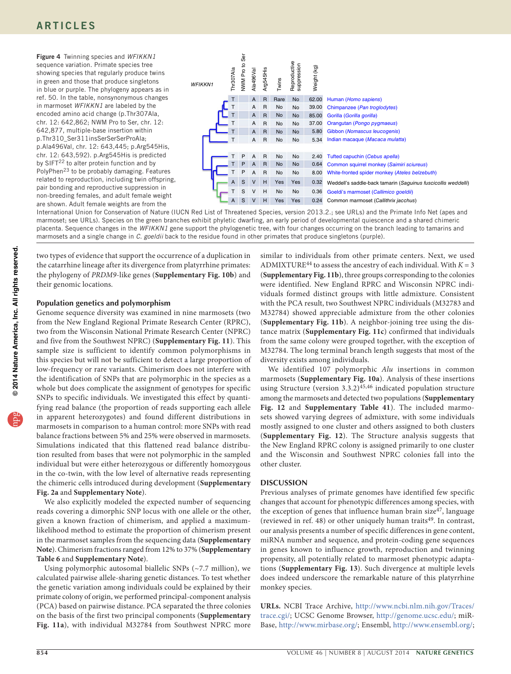## **ARTICLES**

Figure 4 Twinning species and *WFIKKN1* sequence variation. Primate species tree showing species that regularly produce twins in green and those that produce singletons in blue or purple. The phylogeny appears as in ref. [50](#page-6-39). In the table, nonsynonymous changes in marmoset *WFIKKN1* are labeled by the encoded amino acid change (p.Thr307Ala, chr. 12: 642,862; NWM Pro to Ser, chr. 12: 642,877, multiple-base insertion within p.Thr310\_Ser311insSerSerSerProAla; p.Ala496Val, chr. 12: 643,445; p.Arg545His, chr. 12: 643,592). p.Arg545His is predicted by SIFT<sup>[22](#page-6-13)</sup> to alter protein function and by PolyPhen[23](#page-6-14) to be probably damaging. Features related to reproduction, including twin offspring, pair bonding and reproductive suppression in non-breeding females, and adult female weight are shown. Adult female weights are from the



International Union for Conservation of Nature (IUCN Red List of Threatened Species, version 2013.2.; see URLs) and the Primate Info Net (apes and marmoset; see URLs). Species on the green branches exhibit phyletic dwarfing, an early period of developmental quiescence and a shared chimeric placenta. Sequence changes in the *WFIKKN1* gene support the phylogenetic tree, with four changes occurring on the branch leading to tamarins and marmosets and a single change in *C. goeldii* back to the residue found in other primates that produce singletons (purple).

two types of evidence that support the occurrence of a duplication in the catarrhine lineage after its divergence from platyrrhine primates: the phylogeny of *PRDM9*-like genes (**Supplementary Fig. 10b**) and their genomic locations.

#### **Population genetics and polymorphism**

Genome sequence diversity was examined in nine marmosets (two from the New England Regional Primate Research Center (RPRC), two from the Wisconsin National Primate Research Center (NPRC) and five from the Southwest NPRC) (**Supplementary Fig. 11**). This sample size is sufficient to identify common polymorphisms in this species but will not be sufficient to detect a large proportion of low-frequency or rare variants. Chimerism does not interfere with the identification of SNPs that are polymorphic in the species as a whole but does complicate the assignment of genotypes for specific SNPs to specific individuals. We investigated this effect by quantifying read balance (the proportion of reads supporting each allele in apparent heterozygotes) and found different distributions in marmosets in comparison to a human control: more SNPs with read balance fractions between 5% and 25% were observed in marmosets. Simulations indicated that this flattened read balance distribution resulted from bases that were not polymorphic in the sampled individual but were either heterozygous or differently homozygous in the co-twin, with the low level of alternative reads representing the chimeric cells introduced during development (**Supplementary Fig. 2a** and **Supplementary Note**).

We also explicitly modeled the expected number of sequencing reads covering a dimorphic SNP locus with one allele or the other, given a known fraction of chimerism, and applied a maximumlikelihood method to estimate the proportion of chimerism present in the marmoset samples from the sequencing data (**Supplementary Note**). Chimerism fractions ranged from 12% to 37% (**Supplementary Table 6** and **Supplementary Note**).

Using polymorphic autosomal biallelic SNPs (~7.7 million), we calculated pairwise allele-sharing genetic distances. To test whether the genetic variation among individuals could be explained by their primate colony of origin, we performed principal-component analysis (PCA) based on pairwise distance. PCA separated the three colonies on the basis of the first two principal components (**Supplementary Fig. 11a**), with individual M32784 from Southwest NPRC more

similar to individuals from other primate centers. Next, we used ADMIXTURE<sup>44</sup> to assess the ancestry of each individual. With  $K = 3$ (**Supplementary Fig. 11b**), three groups corresponding to the colonies were identified. New England RPRC and Wisconsin NPRC individuals formed distinct groups with little admixture. Consistent with the PCA result, two Southwest NPRC individuals (M32783 and M32784) showed appreciable admixture from the other colonies (**Supplementary Fig. 11b**). A neighbor-joining tree using the distance matrix (**Supplementary Fig. 11c**) confirmed that individuals from the same colony were grouped together, with the exception of M32784. The long terminal branch length suggests that most of the diversity exists among individuals.

We identified 107 polymorphic *Alu* insertions in common marmosets (**Supplementary Fig. 10a**). Analysis of these insertions using Structure (version  $3.3.2$ )<sup>[45,](#page-6-34)[46](#page-6-35)</sup> indicated population structure among the marmosets and detected two populations (**Supplementary Fig. 12** and **Supplementary Table 41**). The included marmosets showed varying degrees of admixture, with some individuals mostly assigned to one cluster and others assigned to both clusters (**Supplementary Fig. 12**). The Structure analysis suggests that the New England RPRC colony is assigned primarily to one cluster and the Wisconsin and Southwest NPRC colonies fall into the other cluster.

#### **DISCUSSION**

Previous analyses of primate genomes have identified few specific changes that account for phenotypic differences among species, with the exception of genes that influence human brain size<sup>[47](#page-6-36)</sup>, language (reviewed in ref. [48\)](#page-6-37) or other uniquely human traits<sup>49</sup>. In contrast, our analysis presents a number of specific differences in gene content, miRNA number and sequence, and protein-coding gene sequences in genes known to influence growth, reproduction and twinning propensity, all potentially related to marmoset phenotypic adaptations (**Supplementary Fig. 13**). Such divergence at multiple levels does indeed underscore the remarkable nature of this platyrrhine monkey species.

**URLs.** NCBI Trace Archive, [http://www.ncbi.nlm.nih.gov/Traces/](http://www.ncbi.nlm.nih.gov/Traces/trace.cgi/) [trace.cgi/](http://www.ncbi.nlm.nih.gov/Traces/trace.cgi/); UCSC Genome Browser, [http://genome.ucsc.edu/;](http://genome.ucsc.edu/) miR-Base, [http://www.mirbase.org/;](http://www.mirbase.org/) Ensembl, <http://www.ensembl.org/>;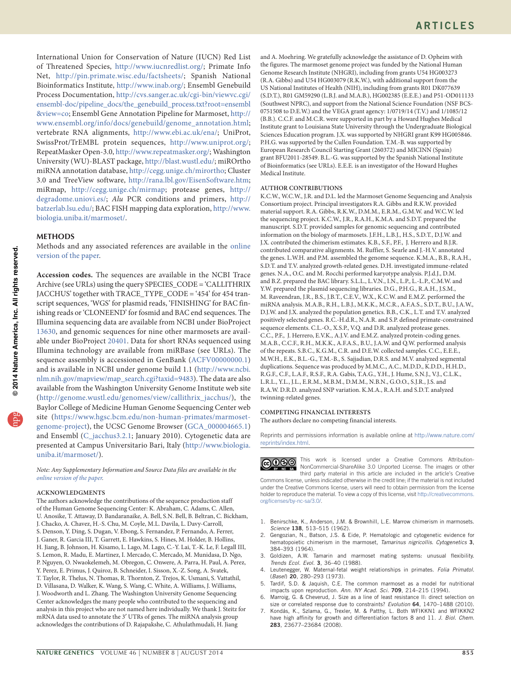International Union for Conservation of Nature (IUCN) Red List of Threatened Species, <http://www.iucnredlist.org/>; Primate Info Net, [http://pin.primate.wisc.edu/factsheets/;](http://pin.primate.wisc.edu/factsheets/) Spanish National Bioinformatics Institute, <http://www.inab.org/>; Ensembl Genebuild Process Documentation, [http://cvs.sanger.ac.uk/cgi-bin/viewvc.cgi/](http://cvs.sanger.ac.uk/cgi-bin/viewvc.cgi/ensembl-doc/pipeline_docs/the_genebuild_process.txt?root=ensembl&view=co) [ensembl-doc/pipeline\\_docs/the\\_genebuild\\_process.txt?root=ensembl](http://cvs.sanger.ac.uk/cgi-bin/viewvc.cgi/ensembl-doc/pipeline_docs/the_genebuild_process.txt?root=ensembl&view=co) [&view=co;](http://cvs.sanger.ac.uk/cgi-bin/viewvc.cgi/ensembl-doc/pipeline_docs/the_genebuild_process.txt?root=ensembl&view=co) Ensembl Gene Annotation Pipeline for Marmoset, [http://](http://www.ensembl.org/info/docs/genebuild/genome_annotation.html) [www.ensembl.org/info/docs/genebuild/genome\\_annotation.html](http://www.ensembl.org/info/docs/genebuild/genome_annotation.html); vertebrate RNA alignments, [http://www.ebi.ac.uk/ena/;](http://www.ebi.ac.uk/ena/) UniProt, SwissProt/TrEMBL protein sequences, <http://www.uniprot.org/>; RepeatMasker Open-3.0, [http://www.repeatmasker.org/;](http://www.repeatmasker.org/) Washington University (WU)-BLAST package, <http://blast.wustl.edu/>; miROrtho miRNA annotation database, [http://cegg.unige.ch/mirortho;](http://cegg.unige.ch/mirortho) Cluster 3.0 and TreeView software, <http://rana.lbl.gov/EisenSoftware.htm>; miRmap, <http://cegg.unige.ch/mirmap>; protease genes, [http://](http://degradome.uniovi.es/) [degradome.uniovi.es/](http://degradome.uniovi.es/); *Alu* PCR conditions and primers, [http://](http://batzerlab.lsu.edu/) [batzerlab.lsu.edu/;](http://batzerlab.lsu.edu/) BAC FISH mapping data exploration, [http://www.](http://www.biologia.uniba.it/marmoset/) [biologia.uniba.it/marmoset/.](http://www.biologia.uniba.it/marmoset/)

#### **Methods**

Methods and any associated references are available in the [online](http://www.nature.com/doifinder/10.1038/ng.3042) [version of the paper](http://www.nature.com/doifinder/10.1038/ng.3042).

**Accession codes.** The sequences are available in the NCBI Trace Archive (see URLs) using the query SPECIES\_CODE = 'CALLITHRIX JACCHUS' together with TRACE\_TYPE\_CODE = '454' for 454 transcript sequences, 'WGS' for plasmid reads, 'FINISHING' for BAC finishing reads or 'CLONEEND' for fosmid and BAC end sequences. The Illumina sequencing data are available from NCBI under BioProject [13630,](http://www.ncbi.nlm.nih.gov/bioproject/?term=13630) and genomic sequences for nine other marmosets are available under BioProject [20401](http://www.ncbi.nlm.nih.gov/bioproject/?term=20401+%5Buid%5D). Data for short RNAs sequenced using Illumina technology are available from miRBase (see URLs). The sequence assembly is accessioned in GenBank [\(ACFV00000000.1](http://www.ncbi.nlm.nih.gov/nuccore/ACFV00000000.1)) and is available in NCBI under genome build 1.1 [\(http://www.ncbi.](http://www.ncbi.nlm.nih.gov/mapview/map_search.cgi?taxid=9483) [nlm.nih.gov/mapview/map\\_search.cgi?taxid=9483\)](http://www.ncbi.nlm.nih.gov/mapview/map_search.cgi?taxid=9483). The data are also available from the Washington University Genome Institute web site ([http://genome.wustl.edu/genomes/view/callithrix\\_jacchus/\)](http://genome.wustl.edu/genomes/view/callithrix_jacchus/), the Baylor College of Medicine Human Genome Sequencing Center web site ([https://www.hgsc.bcm.edu/non-human-primates/marmoset](https://www.hgsc.bcm.edu/non-human-primates/marmoset-genome-project)[genome-project](https://www.hgsc.bcm.edu/non-human-primates/marmoset-genome-project)), the UCSC Genome Browser ([GCA\\_000004665.1](https://genome.ucsc.edu/cgi-bin/hgGateway?hgsid=381631573_qWcMOFO0t0O5n2g1RqaLRGslXppC&clade=mammal&org=Marmoset&db=0)) and Ensembl ([C\\_jacchus3.2.1;](http://www.ensembl.org/Callithrix_jacchus/Info/Index) January 2010). Cytogenetic data are presented at Campus Universitario Bari, Italy [\(http://www.biologia.](http://www.biologia.uniba.it/marmoset/) [uniba.it/marmoset/\)](http://www.biologia.uniba.it/marmoset/).

*Note: Any Supplementary Information and Source Data files are available in the [online version of the paper.](http://www.nature.com/doifinder/10.1038/ng.3042)*

#### **Acknowledgments**

The authors acknowledge the contributions of the sequence production staff of the Human Genome Sequencing Center: K. Abraham, C. Adams, C. Allen, U. Anosike, T. Attaway, D. Bandaranaike, A. Bell, S.N. Bell, B. Beltran, C. Bickham, J. Chacko, A. Chavez, H.-S. Chu, M. Coyle, M.L. Davila, L. Davy-Carroll, S. Denson, Y. Ding, S. Dugan, V. Ebong, S. Fernandez, P. Fernando, A. Ferrer, J. Ganer, R. Garcia III, T. Garrett, E. Hawkins, S. Hines, M. Holder, B. Hollins, H. Jiang, B. Johnson, H. Kisamo, L. Lago, M. Lago, C.-Y. Lai, T.-K. Le, F. Legall III, S. Lemon, R. Madu, E. Martinez, I. Mercado, C. Mercado, M. Munidasa, D. Ngo, P. Nguyen, O. Nwaokelemeh, M. Obregon, C. Onwere, A. Parra, H. Paul, A. Perez, Y. Perez, E. Primus, J. Quiroz, B. Schneider, I. Sisson, X.-Z. Song, A. Svatek, T. Taylor, R. Thelus, N. Thomas, R. Thornton, Z. Trejos, K. Usmani, S. Vattathil, D. Villasana, D. Walker, K. Wang, S. Wang, C. White, A. Williams, J. Williams, J. Woodworth and L. Zhang. The Washington University Genome Sequencing Center acknowledges the many people who contributed to the sequencing and analysis in this project who are not named here individually. We thank J. Steitz for mRNA data used to annotate the 3′ UTRs of genes. The miRNA analysis group acknowledges the contributions of D. Rajapakshe, C. Athulathmudali, H. Jiang

and A. Moehring. We gratefully acknowledge the assistance of D. Opheim with the figures. The marmoset genome project was funded by the National Human Genome Research Institute (NHGRI), including from grants U54 HG003273 (R.A. Gibbs) and U54 HG003079 (R.K.W.), with additional support from the US National Institutes of Health (NIH), including from grants R01 DK077639 (S.D.T.), R01 GM59290 (L.B.J. and M.A.B.), HG002385 (E.E.E.) and P51-OD011133 (Southwest NPRC), and support from the National Science Foundation (NSF BCS-0751508 to D.E.W.) and the VEGA grant agency: 1/0719/14 (T.V.) and 1/1085/12 (B.B.). C.C.F. and M.C.R. were supported in part by a Howard Hughes Medical Institute grant to Louisiana State University through the Undergraduate Biological Sciences Education program. J.X. was supported by NHGRI grant K99 HG005846. P.H.G. was supported by the Cullen Foundation. T.M.-B. was supported by European Research Council Starting Grant (260372) and MICINN (Spain) grant BFU2011-28549. B.L.-G. was supported by the Spanish National Institute of Bioinformatics (see URLs). E.E.E. is an investigator of the Howard Hughes Medical Institute.

#### **AUTHOR CONTRIBUTIONS**

K.C.W., W.C.W., J.R. and D.L. led the Marmoset Genome Sequencing and Analysis Consortium project. Principal investigators R.A. Gibbs and R.K.W. provided material support. R.A. Gibbs, R.K.W., D.M.M., E.R.M., G.M.W. and W.C.W. led the sequencing project. K.C.W., J.R., R.A.H., K.M.A. and S.D.T. prepared the manuscript. S.D.T. provided samples for genomic sequencing and contributed information on the biology of marmosets. J.F.H., L.B.J., H.S., S.D.T., D.J.W. and J.X. contributed the chimerism estimates. K.B., S.F., P.F., J. Herrero and B.J.R. contributed comparative alignments. M. Ruffier, S. Searle and J.-H.V. annotated the genes. L.W.H. and P.M. assembled the genome sequence. K.M.A., B.B., R.A.H., S.D.T. and T.V. analyzed growth-related genes. D.H. investigated immune-related genes. N.A., O.C. and M. Rocchi performed karyotype analysis. P.J.d.J., D.M. and B.Z. prepared the BAC library. S.L.L., L.V.N., I.N., L.P., L.-L.P., C.M.W. and Y.W. prepared the plasmid sequencing libraries. D.G., P.H.G., R.A.H., J.S.M., M. Raveendran, J.R., B.S., J.B.T., C.E.V., W.X., K.C.W. and E.M.Z. performed the miRNA analysis. M.A.B., R.H., L.B.J., M.K.K., M.C.R., A.F.A.S., S.D.T., B.U., J.A.W., D.J.W. and J.X. analyzed the population genetics. B.B., C.K., L.T. and T.V. analyzed positively selected genes. R.C.-H.d.R., N.A.R. and S.P. defined primate-constrained sequence elements. C.L.-O., X.S.P., V.Q. and D.R. analyzed protease genes. C.C., P.F., J. Herrero, E.V.K., A.J.V. and E.M.Z. analyzed protein-coding genes. M.A.B., C.C.F., R.H., M.K.K., A.F.A.S., B.U., J.A.W. and Q.W. performed analysis of the repeats. S.B.C., K.G.M., C.R. and D.E.W. collected samples. C.C., E.E.E., M.W.H., E.K., B.L.-G., T.M.-B., S. Sajjadian, D.R.S. and M.V. analyzed segmental duplications. Sequence was produced by M.M.C., A.C., M.D.D., K.D.D., H.H.D., R.G.F., C.F., L.A.F., R.S.F., R.A. Gabis, T.A.G., Y.H., J. Hume, S.N.J., V.J., C.L.K., L.R.L., Y.L., J.L., E.R.M., M.B.M., D.M.M., N.B.N., G.O.O., S.J.R., J.S. and R.A.W. D.R.D. analyzed SNP variation. K.M.A., R.A.H. and S.D.T. analyzed twinning-related genes.

#### **COMPETING FINANCIAL INTERESTS**

The authors declare no competing financial interests.

Reprints and permissions information is available online at [http://www.nature.com/](http://www.nature.com/reprints/index.html) [reprints/index.html.](http://www.nature.com/reprints/index.html)

This work is licensed under a Creative Commons Attribution-**@000** NonCommercial-ShareAlike 3.0 Unported License. The images or other third party material in this article are included in the article's Creative Commons license, unless indicated otherwise in the credit line; if the material is not included under the Creative Commons license, users will need to obtain permission from the license holder to reproduce the material. To view a copy of this license, visit [http://creativecommons.](http://creativecommons.org/licenses/by-nc-sa/3.0/) [org/licenses/by-nc-sa/3.0/.](http://creativecommons.org/licenses/by-nc-sa/3.0/)

- <span id="page-5-0"></span>1. Benirschke, K., Anderson, J.M. & Brownhill, L.E. Marrow chimerism in marmosets. *Science* 138, 513–515 (1962).
- <span id="page-5-1"></span>2. Gengozian, N., Batson, J.S. & Eide, P. Hematologic and cytogenetic evidence for hematopoietic chimerism in the marmoset, *Tamarinus nigricollis*. *Cytogenetics* 3, 384–393 (1964).
- <span id="page-5-2"></span>3. Goldizen, A.W. Tamarin and marmoset mating systems: unusual flexibility. *Trends Ecol. Evol.* 3, 36–40 (1988).
- 4. Leutenegger, W. Maternal-fetal weight relationships in primates. *Folia Primatol.*  (*Basel*) 20, 280–293 (1973).
- <span id="page-5-3"></span>5. Tardif, S.D. & Jaquish, C.E. The common marmoset as a model for nutritional impacts upon reproduction. *Ann. NY Acad. Sci.* 709, 214–215 (1994).
- <span id="page-5-4"></span>6. Marroig, G. & Cheverud, J. Size as a line of least resistance II: direct selection on size or correlated response due to constraints? *Evolution* 64, 1470–1488 (2010).
- <span id="page-5-5"></span>7. Kondás, K., Szlama, G., Trexler, M. & Patthy, L. Both WFIKKN1 and WFIKKN2 have high affinity for growth and differentiation factors 8 and 11. *J. Biol. Chem.* 283, 23677–23684 (2008).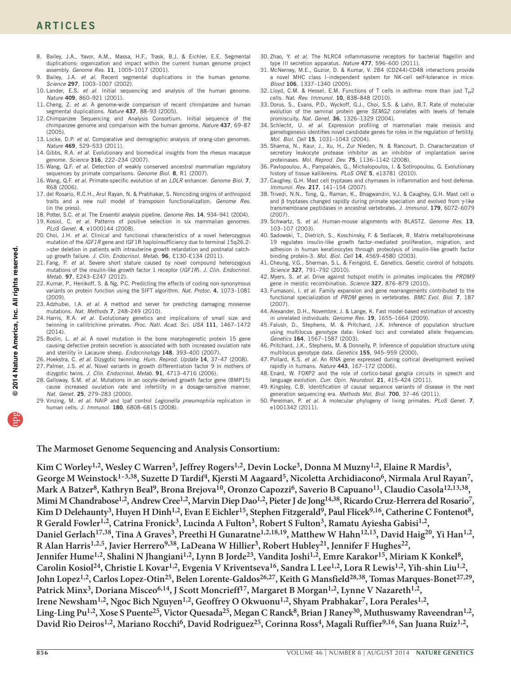## **ARTICLES**

- <span id="page-6-0"></span>8. Bailey, J.A., Yavor, A.M., Massa, H.F., Trask, B.J. & Eichler, E.E. Segmental duplications: organization and impact within the current human genome project assembly. *Genome Res.* 11, 1005–1017 (2001).
- <span id="page-6-1"></span>9. Bailey, J.A. *et al.* Recent segmental duplications in the human genome. *Science* 297, 1003–1007 (2002).
- <span id="page-6-2"></span>10. Lander, E.S. *et al.* Initial sequencing and analysis of the human genome. *Nature* 409, 860–921 (2001).
- 11. Cheng, Z. *et al.* A genome-wide comparison of recent chimpanzee and human segmental duplications. *Nature* 437, 88–93 (2005).
- <span id="page-6-3"></span>12. Chimpanzee Sequencing and Analysis Consortium. Initial sequence of the chimpanzee genome and comparison with the human genome. *Nature* 437, 69–87 (2005).
- <span id="page-6-4"></span>13. Locke, D.P. *et al.* Comparative and demographic analysis of orang-utan genomes. *Nature* 469, 529–533 (2011).
- <span id="page-6-5"></span>14. Gibbs, R.A. *et al.* Evolutionary and biomedical insights from the rhesus macaque genome. *Science* 316, 222–234 (2007).
- <span id="page-6-6"></span>15. Wang, Q.F. *et al.* Detection of weakly conserved ancestral mammalian regulatory sequences by primate comparisons. *Genome Biol.* 8, R1 (2007).
- <span id="page-6-7"></span>16. Wang, Q.F. *et al.* Primate-specific evolution of an *LDLR* enhancer. *Genome Biol.* 7, R68 (2006).
- <span id="page-6-8"></span>17. del Rosario, R.C.H., Arul Rayan, N. & Prabhakar, S. Noncoding origins of anthropoid traits and a new null model of transposon functionalization. *Genome Res.* (in the press).
- <span id="page-6-9"></span>18. Potter, S.C. *et al.* The Ensembl analysis pipeline. *Genome Res.* 14, 934–941 (2004).
- <span id="page-6-10"></span>19. Kosiol, C. *et al.* Patterns of positive selection in six mammalian genomes. *PLoS Genet.* 4, e1000144 (2008).
- <span id="page-6-11"></span>20. Choi, J.H. *et al.* Clinical and functional characteristics of a novel heterozygous mutation of the *IGF1R* gene and IGF1R haploinsufficiency due to terminal 15q26.2- >qter deletion in patients with intrauterine growth retardation and postnatal catchup growth failure. *J. Clin. Endocrinol. Metab.* 96, E130–E134 (2011).
- <span id="page-6-12"></span>21. Fang, P. *et al.* Severe short stature caused by novel compound heterozygous mutations of the insulin-like growth factor 1 receptor (*IGF1R*). *J. Clin. Endocrinol. Metab.* 97, E243–E247 (2012).
- <span id="page-6-13"></span>22. Kumar, P., Henikoff, S. & Ng, P.C. Predicting the effects of coding non-synonymous variants on protein function using the SIFT algorithm. *Nat. Protoc.* 4, 1073–1081 (2009).
- <span id="page-6-14"></span>23. Adzhubei, I.A. *et al.* A method and server for predicting damaging missense mutations. *Nat. Methods* 7, 248–249 (2010).
- <span id="page-6-15"></span>24. Harris, R.A. *et al.* Evolutionary genetics and implications of small size and twinning in callitrichine primates. *Proc. Natl. Acad. Sci. USA* 111, 1467–1472 (2014).
- <span id="page-6-16"></span>25. Bodin, L. *et al.* A novel mutation in the bone morphogenetic protein 15 gene causing defective protein secretion is associated with both increased ovulation rate and sterility in Lacaune sheep. *Endocrinology* 148, 393–400 (2007).
- 26. Hoekstra, C. *et al.* Dizygotic twinning. *Hum. Reprod. Update* 14, 37–47 (2008).
- <span id="page-6-17"></span>27. Palmer, J.S. *et al.* Novel variants in growth differentiation factor 9 in mothers of dizygotic twins. *J. Clin. Endocrinol. Metab.* 91, 4713–4716 (2006).
- <span id="page-6-18"></span>28. Galloway, S.M. *et al.* Mutations in an oocyte-derived growth factor gene (BMP15) cause increased ovulation rate and infertility in a dosage-sensitive manner. *Nat. Genet.* 25, 279–283 (2000).
- <span id="page-6-19"></span>29. Vinzing, M. *et al.* NAIP and Ipaf control *Legionella pneumophila* replication in human cells. *J. Immunol.* 180, 6808–6815 (2008).
- <span id="page-6-20"></span>30. Zhao, Y. *et al.* The NLRC4 inflammasome receptors for bacterial flagellin and type III secretion apparatus. *Nature* 477, 596–600 (2011).
- <span id="page-6-21"></span>31. McNerney, M.E., Guzior, D. & Kumar, V. 2B4 (CD244)-CD48 interactions provide a novel MHC class I–independent system for NK-cell self-tolerance in mice. *Blood* 106, 1337–1340 (2005).
- <span id="page-6-22"></span>32. Lloyd, C.M. & Hessel, E.M. Functions of T cells in asthma: more than just  $T_H2$ cells. *Nat. Rev. Immunol.* 10, 838–848 (2010).
- <span id="page-6-23"></span>33. Dorus, S., Evans, P.D., Wyckoff, G.J., Choi, S.S. & Lahn, B.T. Rate of molecular evolution of the seminal protein gene *SEMG2* correlates with levels of female promiscuity. *Nat. Genet.* 36, 1326–1329 (2004).
- <span id="page-6-24"></span>34. Schlecht, U. *et al.* Expression profiling of mammalian male meiosis and gametogenesis identifies novel candidate genes for roles in the regulation of fertility. *Mol. Biol. Cell* 15, 1031–1043 (2004).
- <span id="page-6-25"></span>35. Sharma, N., Kaur, J., Xu, H., Zur Nieden, N. & Rancourt, D. Characterization of secretory leukocyte protease inhibitor as an inhibitor of implantation serine proteinases. *Mol. Reprod. Dev.* 75, 1136–1142 (2008).
- 36. Pavlopoulou, A., Pampalakis, G., Michalopoulos, I. & Sotiropoulou, G. Evolutionary history of tissue kallikreins. *PLoS ONE* 5, e13781 (2010).
- <span id="page-6-26"></span>37. Caughey, G.H. Mast cell tryptases and chymases in inflammation and host defense. *Immunol. Rev.* 217, 141–154 (2007).
- <span id="page-6-27"></span>38. Trivedi, N.N., Tong, Q., Raman, K., Bhagwandin, V.J. & Caughey, G.H. Mast cell α and  $\beta$  tryptases changed rapidly during primate speciation and evolved from  $\gamma$ -like transmembrane peptidases in ancestral vertebrates. *J. Immunol.* 179, 6072–6079 (2007).
- <span id="page-6-28"></span>39. Schwartz, S. *et al.* Human-mouse alignments with BLASTZ. *Genome Res.* 13, 103–107 (2003).
- <span id="page-6-29"></span>40. Sadowski, T., Dietrich, S., Koschinsky, F. & Sedlacek, R. Matrix metalloproteinase 19 regulates insulin-like growth factor–mediated proliferation, migration, and adhesion in human keratinocytes through proteolysis of insulin-like growth factor binding protein-3. *Mol. Biol. Cell* 14, 4569–4580 (2003).
- <span id="page-6-30"></span>41. Cheung, V.G., Sherman, S.L. & Feingold, E. Genetics. Genetic control of hotspots. *Science* 327, 791–792 (2010).
- <span id="page-6-31"></span>42. Myers, S. *et al.* Drive against hotspot motifs in primates implicates the *PRDM9* gene in meiotic recombination. *Science* 327, 876–879 (2010).
- <span id="page-6-32"></span>43. Fumasoni, I. *et al.* Family expansion and gene rearrangements contributed to the functional specialization of *PRDM* genes in vertebrates. *BMC Evol. Biol.* 7, 187 (2007).
- <span id="page-6-33"></span>44. Alexander, D.H., Novembre, J. & Lange, K. Fast model-based estimation of ancestry in unrelated individuals. *Genome Res.* 19, 1655–1664 (2009).
- <span id="page-6-34"></span>45. Falush, D., Stephens, M. & Pritchard, J.K. Inference of population structure using multilocus genotype data: linked loci and correlated allele frequencies. *Genetics* 164, 1567–1587 (2003).
- <span id="page-6-35"></span>46. Pritchard, J.K., Stephens, M. & Donnelly, P. Inference of population structure using multilocus genotype data. *Genetics* 155, 945–959 (2000).
- <span id="page-6-36"></span>47. Pollard, K.S. *et al.* An RNA gene expressed during cortical development evolved rapidly in humans. *Nature* 443, 167–172 (2006).
- <span id="page-6-37"></span>48. Enard, W. FOXP2 and the role of cortico-basal ganglia circuits in speech and language evolution. *Curr. Opin. Neurobiol.* 21, 415–424 (2011).
- <span id="page-6-38"></span>49. Kingsley, C.B. Identification of causal sequence variants of disease in the next generation sequencing era. *Methods Mol. Biol.* 700, 37–46 (2011).
- <span id="page-6-39"></span>50. Perelman, P. *et al.* A molecular phylogeny of living primates. *PLoS Genet.* 7, e1001342 (2011).

### **The Marmoset Genome Sequencing and Analysis Consortium:**

Kim C Worley<sup>1,2</sup>, Wesley C Warren<sup>3</sup>, Jeffrey Rogers<sup>1,2</sup>, Devin Locke<sup>3</sup>, Donna M Muzny<sup>1,2</sup>, Elaine R Mardis<sup>3</sup>, George M Weinstock<sup>1–3,38</sup>, Suzette D Tardif<sup>4</sup>, Kjersti M Aagaard<sup>5</sup>, Nicoletta Archidiacono<sup>6</sup>, Nirmala Arul Rayan<sup>7</sup>, Mark A Batzer<sup>8</sup>, Kathryn Beal<sup>9</sup>, Brona Brejova<sup>10</sup>, Oronzo Capozzi<sup>6</sup>, Saverio B Capuano<sup>11</sup>, Claudio Casola<sup>12,13,38</sup>, Mimi M Chandrabose<sup>1,2</sup>, Andrew Cree<sup>1,2</sup>, Marvin Diep Dao<sup>1,2</sup>, Pieter J de Jong<sup>14,38</sup>, Ricardo Cruz-Herrera del Rosario<sup>7</sup>, Kim D Delehaunty<sup>3</sup>, Huyen H Dinh<sup>1,2</sup>, Evan E Eichler<sup>15</sup>, Stephen Fitzgerald<sup>9</sup>, Paul Flicek<sup>9,16</sup>, Catherine C Fontenot<sup>8</sup>, **R Gerald Fowler1,2, Catrina Fronick3, Lucinda A Fulton3, Robert S Fulton3, Ramatu Ayiesha Gabisi1,2,**  Daniel Gerlach<sup>17,38</sup>, Tina A Graves<sup>3</sup>, Preethi H Gunaratne<sup>1,2,18,19</sup>, Matthew W Hahn<sup>12,13</sup>, David Haig<sup>20</sup>, Yi Han<sup>1,2</sup>, R Alan Harris<sup>1,2,5</sup>, Javier Herrero<sup>9,38</sup>, LaDeana W Hillier<sup>3</sup>, Robert Hubley<sup>21</sup>, Jennifer F Hughes<sup>22</sup>, **Jennifer Hume1,2, Shalini N Jhangiani1,2, Lynn B Jorde23, Vandita Joshi1,2, Emre Karakor15, Miriam K Konkel8, Carolin Kosiol24, Christie L Kovar1,2, Evgenia V Kriventseva16, Sandra L Lee1,2, Lora R Lewis1,2, Yih-shin Liu1,2,**  John Lopez<sup>1,2</sup>, Carlos Lopez-Otin<sup>25</sup>, Belen Lorente-Galdos<sup>26,27</sup>, Keith G Mansfield<sup>28,38</sup>, Tomas Marques-Bonet<sup>27,29</sup>, Patrick Minx<sup>3</sup>, Doriana Misceo<sup>6,14</sup>, J Scott Moncrieff<sup>17</sup>, Margaret B Morgan<sup>1,2</sup>, Lynne V Nazareth<sup>1,2</sup>, Irene Newsham<sup>1,2</sup>, Ngoc Bich Nguyen<sup>1,2</sup>, Geoffrey O Okwuonu<sup>1,2</sup>, Shyam Prabhakar<sup>7</sup>, Lora Perales<sup>1,2</sup>, Ling-Ling Pu<sup>1,2</sup>, Xose S Puente<sup>25</sup>, Victor Quesada<sup>25</sup>, Megan C Ranck<sup>8</sup>, Brian J Raney<sup>30</sup>, Muthuswamy Raveendran<sup>1,2</sup>, David Rio Deiros<sup>1,2</sup>, Mariano Rocchi<sup>6</sup>, David Rodriguez<sup>25</sup>, Corinna Ross<sup>4</sup>, Magali Ruffier<sup>9,16</sup>, San Juana Ruiz<sup>1,2</sup>,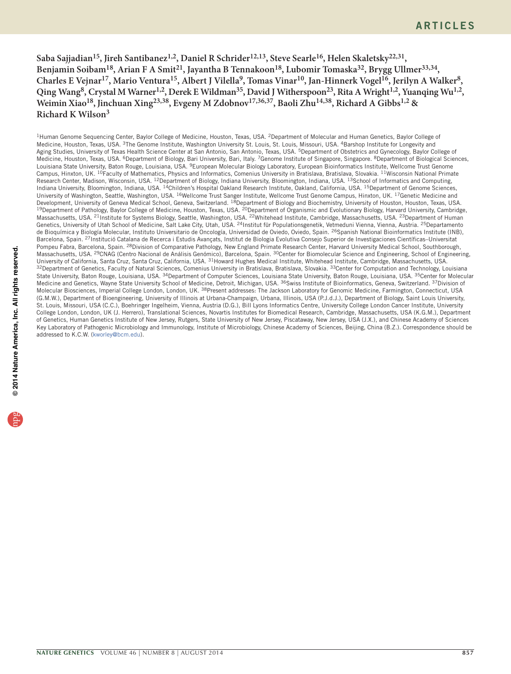Saba Sajjadian<sup>15</sup>, Jireh Santibanez<sup>1,2</sup>, Daniel R Schrider<sup>12,13</sup>, Steve Searle<sup>16</sup>, Helen Skaletsky<sup>22,31</sup>, Benjamin Soibam<sup>18</sup>, Arian F A Smit<sup>21</sup>, Jayantha B Tennakoon<sup>18</sup>, Lubomir Tomaska<sup>32</sup>, Brygg Ullmer<sup>33,34</sup>, **Charles E Vejnar17, Mario Ventura15, Albert J Vilella9, Tomas Vinar10, Jan-Hinnerk Vogel16, Jerilyn A Walker8,**  Qing Wang<sup>8</sup>, Crystal M Warner<sup>1,2</sup>, Derek E Wildman<sup>35</sup>, David J Witherspoon<sup>23</sup>, Rita A Wright<sup>1,2</sup>, Yuanqing Wu<sup>1,2</sup>, Weimin Xiao<sup>18</sup>, Jinchuan Xing<sup>23,38</sup>, Evgeny M Zdobnov<sup>17,36,37</sup>, Baoli Zhu<sup>14,38</sup>, Richard A Gibbs<sup>1,2</sup> & **Richard K Wilson<sup>3</sup>**

<sup>1</sup>Human Genome Sequencing Center, Baylor College of Medicine, Houston, Texas, USA. <sup>2</sup>Department of Molecular and Human Genetics, Baylor College of Medicine, Houston, Texas, USA. <sup>3</sup>The Genome Institute, Washington University St. Louis, St. Louis, Missouri, USA. <sup>4</sup>Barshop Institute for Longevity and Aging Studies, University of Texas Health Science Center at San Antonio, San Antonio, Texas, USA. <sup>5</sup>Department of Obstetrics and Gynecology, Baylor College of Medicine, Houston, Texas, USA. <sup>6</sup>Department of Biology, Bari University, Bari, Italy. 7Genome Institute of Singapore, Singapore. <sup>8</sup>Department of Biological Sciences, Louisiana State University, Baton Rouge, Louisiana, USA. <sup>9</sup>European Molecular Biology Laboratory, European Bioinformatics Institute, Wellcome Trust Genome Campus, Hinxton, UK. 10Faculty of Mathematics, Physics and Informatics, Comenius University in Bratislava, Bratislava, Slovakia. 11Wisconsin National Primate Research Center, Madison, Wisconsin, USA. 12Department of Biology, Indiana University, Bloomington, Indiana, USA. 13School of Informatics and Computing, Indiana University, Bloomington, Indiana, USA. <sup>14</sup>Children's Hospital Oakland Research Institute, Oakland, California, USA. <sup>15</sup>Department of Genome Sciences, University of Washington, Seattle, Washington, USA. <sup>16</sup>Wellcome Trust Sanger Institute, Wellcome Trust Genome Campus, Hinxton, UK. <sup>17</sup>Genetic Medicine and<br>Development, University of Geneva Medical School, Geneva, Switzer <sup>19</sup>Department of Pathology, Baylor College of Medicine, Houston, Texas, USA. <sup>20</sup>Department of Organismic and Evolutionary Biology, Harvard University, Cambridge, Massachusetts, USA. <sup>21</sup>Institute for Systems Biology, Seattle, Washington, USA. <sup>22</sup>Whitehead Institute, Cambridge, Massachusetts, USA. <sup>23</sup>Department of Human Genetics, University of Utah School of Medicine, Salt Lake City, Utah, USA. <sup>24</sup>Institut für Populationsgenetik, Vetmeduni Vienna, Vienna, Austria. <sup>25</sup>Departamento de Bioquímica y Biología Molecular, Instituto Universitario de Oncología, Universidad de Oviedo, Oviedo, Spain. <sup>26</sup>Spanish National Bioinformatics Institute (INB), Barcelona, Spain. <sup>27</sup>Institució Catalana de Recerca i Estudis Avançats, Institut de Biologia Evolutiva Consejo Superior de Investigaciones Científicas–Universitat Pompeu Fabra, Barcelona, Spain. <sup>28</sup>Division of Comparative Pathology, New England Primate Research Center, Harvard University Medical School, Southborough, Massachusetts, USA. <sup>29</sup>CNAG (Centro Nacional de Análisis Genómico), Barcelona, Spain. <sup>30</sup>Center for Biomolecular Science and Engineering, School of Engineering,<br>University of California, Santa Cruz, Santa Cruz, Californi 32Department of Genetics, Faculty of Natural Sciences, Comenius University in Bratislava, Bratislava, Slovakia. 33Center for Computation and Technology, Louisiana State University, Baton Rouge, Louisiana, USA. <sup>34</sup>Department of Computer Sciences, Louisiana State University, Baton Rouge, Louisiana, USA. <sup>35</sup>Center for Molecular Medicine and Genetics, Wayne State University School of Medicine, Detroit, Michigan, USA. <sup>36</sup>Swiss Institute of Bioinformatics, Geneva, Switzerland. <sup>37</sup>Division of Molecular Biosciences, Imperial College London, London, UK. 38Present addresses: The Jackson Laboratory for Genomic Medicine, Farmington, Connecticut, USA (G.M.W.), Department of Bioengineering, University of Illinois at Urbana-Champaign, Urbana, Illinois, USA (P.J.d.J.), Department of Biology, Saint Louis University, St. Louis, Missouri, USA (C.C.), Boehringer Ingelheim, Vienna, Austria (D.G.), Bill Lyons Informatics Centre, University College London Cancer Institute, University College London, London, UK (J. Herrero), Translational Sciences, Novartis Institutes for Biomedical Research, Cambridge, Massachusetts, USA (K.G.M.), Department of Genetics, Human Genetics Institute of New Jersey, Rutgers, State University of New Jersey, Piscataway, New Jersey, USA (J.X.), and Chinese Academy of Sciences Key Laboratory of Pathogenic Microbiology and Immunology, Institute of Microbiology, Chinese Academy of Sciences, Beijing, China (B.Z.). Correspondence should be addressed to K.C.W. (kworley@bcm.edu).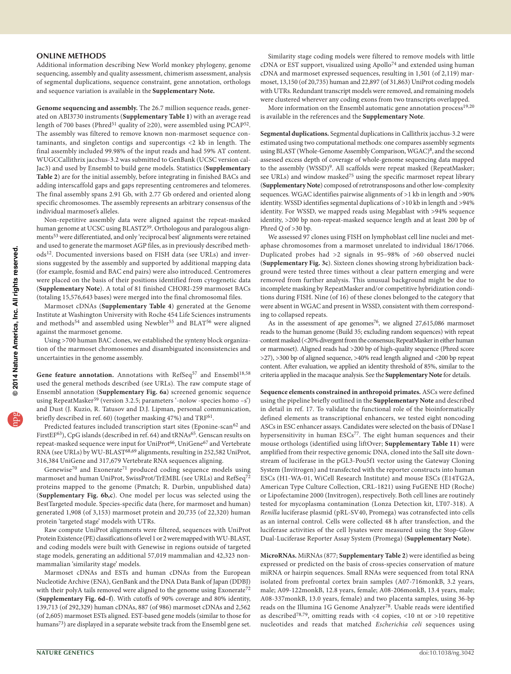#### **ONLINE METHODS**

Additional information describing New World monkey phylogeny, genome sequencing, assembly and quality assessment, chimerism assessment, analysis of segmental duplications, sequence constraint, gene annotation, orthologs and sequence variation is available in the **Supplementary Note.**

**Genome sequencing and assembly.** The 26.7 million sequence reads, generated on ABI3730 instruments (**Supplementary Table 1**) with an average read length of 700 bases (Phred<sup>51</sup> quality of ≥20), were assembled using PCAP<sup>52</sup>. The assembly was filtered to remove known non-marmoset sequence contaminants, and singleton contigs and supercontigs <2 kb in length. The final assembly included 99.98% of the input reads and had 59% AT content. WUGCCallithrix jacchus-3.2 was submitted to GenBank (UCSC version cal-Jac3) and used by Ensembl to build gene models. Statistics (**Supplementary Table 2**) are for the initial assembly, before integrating in finished BACs and adding interscaffold gaps and gaps representing centromeres and telomeres. The final assembly spans 2.91 Gb, with 2.77 Gb ordered and oriented along specific chromosomes. The assembly represents an arbitrary consensus of the individual marmoset's alleles.

Non-repetitive assembly data were aligned against the repeat-masked human genome at UCSC using BLAST[Z39](#page-6-28). Orthologous and paralogous alignments[53](#page-10-2) were differentiated, and only 'reciprocal best' alignments were retained and used to generate the marmoset AGP files, as in previously described methods[12](#page-6-3). Documented inversions based on FISH data (see URLs) and inversions suggested by the assembly and supported by additional mapping data (for example, fosmid and BAC end pairs) were also introduced. Centromeres were placed on the basis of their positions identified from cytogenetic data (**Supplementary Note**). A total of 81 finished CHORI-259 marmoset BACs (totaling 15,576,643 bases) were merged into the final chromosomal files.

Marmoset cDNAs (**Supplementary Table 4**) generated at the Genome Institute at Washington University with Roche 454 Life Sciences instruments and methods<sup>54</sup> and assembled using Newbler<sup>55</sup> and BLAT<sup>56</sup> were aligned against the marmoset genome.

Using >700 human BAC clones, we established the synteny block organization of the marmoset chromosomes and disambiguated inconsistencies and uncertainties in the genome assembly.

Gene feature annotation. Annotations with RefSeq<sup>[57](#page-10-6)</sup> and Ensembl<sup>[18,](#page-6-9)[58](#page-10-7)</sup> used the general methods described (see URLs). The raw compute stage of Ensembl annotation (**Supplementary Fig. 6a**) screened genomic sequence using RepeatMasker<sup>59</sup> (version 3.2.5; parameters '-nolow -species homo -s') and Dust (J. Kuzio, R. Tatusov and D.J. Lipman, personal communication, briefly described in ref. [60\)](#page-10-9) (together masking 47%) and TRF<sup>[61](#page-10-10)</sup>.

Predicted features included transcription start sites (Eponine-scan<sup>62</sup> and FirstEF<sup>[63](#page-10-12)</sup>), CpG islands (described in ref. [64](#page-10-13)) and tRNAs<sup>65</sup>. Genscan results on repeat-masked sequence were input for UniProt<sup>[66](#page-10-15)</sup>, UniGene<sup>67</sup> and Vertebrate RNA (see URLs) by WU-BLAST<sup>[68,](#page-10-17)69</sup> alignments, resulting in 252,582 UniProt, 316,384 UniGene and 317,679 Vertebrate RNA sequences aligning.

Genewise<sup>70</sup> and Exonerate<sup>[71](#page-10-20)</sup> produced coding sequence models using marmoset and human UniProt, SwissProt/TrEMBL (see URLs) and RefSeq[72](#page-10-21) proteins mapped to the genome (Pmatch; R. Durbin, unpublished data) (**Supplementary Fig. 6b,c**). One model per locus was selected using the BestTargeted module. Species-specific data (here, for marmoset and human) generated 1,908 (of 3,153) marmoset protein and 20,735 (of 22,320) human protein 'targeted stage' models with UTRs.

Raw compute UniProt alignments were filtered, sequences with UniProt Protein Existence (PE) classifications of level 1 or 2 were mapped with WU-BLAST, and coding models were built with Genewise in regions outside of targeted stage models, generating an additional 57,019 mammalian and 42,323 nonmammalian 'similarity stage' models.

Marmoset cDNAs and ESTs and human cDNAs from the European Nucleotide Archive (ENA), GenBank and the DNA Data Bank of Japan (DDBJ) with their polyA tails removed were aligned to the genome using Exonerate<sup>[72](#page-10-21)</sup> (**Supplementary Fig. 6d–f**). With cutoffs of 90% coverage and 80% identity, 139,713 (of 292,329) human cDNAs, 887 (of 986) marmoset cDNAs and 2,562 (of 2,605) marmoset ESTs aligned. EST-based gene models (similar to those for humans<sup>73</sup>) are displayed in a separate website track from the Ensembl gene set.

Similarity stage coding models were filtered to remove models with little cDNA or EST support, visualized using Apollo<sup>74</sup> and extended using human cDNA and marmoset expressed sequences, resulting in 1,501 (of 2,119) marmoset, 13,150 (of 20,735) human and 22,897 (of 31,863) UniProt coding models with UTRs. Redundant transcript models were removed, and remaining models were clustered wherever any coding exons from two transcripts overlapped.

More information on the Ensembl automatic gene annotation process $19,20$  $19,20$ is available in the references and the **Supplementary Note**.

**Segmental duplications.** Segmental duplications in Callithrix jacchus-3.2 were estimated using two computational methods: one compares assembly segments using BLAST (Whole-Genome Assembly Comparison, WGAC[\)8](#page-6-0), and the second assessed excess depth of coverage of whole-genome sequencing data mapped to the assembly (WSSD)<sup>9</sup>. All scaffolds were repeat masked (RepeatMasker; see URLs) and window masked<sup>[75](#page-10-24)</sup> using the specific marmoset repeat library (**Supplementary Note**) composed of retrotransposons and other low-complexity sequences. WGAC identifies pairwise alignments of >1 kb in length and >90% identity. WSSD identifies segmental duplications of >10 kb in length and >94% identity. For WSSD, we mapped reads using Megablast with >94% sequence identity, >200 bp non-repeat-masked sequence length and at least 200 bp of Phred *Q* of >30 bp.

We assessed 97 clones using FISH on lymphoblast cell line nuclei and metaphase chromosomes from a marmoset unrelated to individual 186/17066. Duplicated probes had >2 signals in 95–98% of >60 observed nuclei (**Supplementary Fig. 3c**). Sixteen clones showing strong hybridization background were tested three times without a clear pattern emerging and were removed from further analysis. This unusual background might be due to incomplete masking by RepeatMasker and/or competitive hybridization conditions during FISH. Nine (of 16) of these clones belonged to the category that were absent in WGAC and present in WSSD, consistent with them corresponding to collapsed repeats.

As in the assessment of ape genomes<sup>76</sup>, we aligned  $27,615,086$  marmoset reads to the human genome (Build 35; excluding random sequences) with repeat content masked (<20% divergent from the consensus; RepeatMasker in either human or marmoset). Aligned reads had >200 bp of high-quality sequence (Phred score >27), >300 bp of aligned sequence, >40% read length aligned and <200 bp repeat content. After evaluation, we applied an identity threshold of 85%, similar to the criteria applied in the macaque analysis. See the **Supplementary Note** for details.

**Sequence elements constrained in anthropoid primates.** ASCs were defined using the pipeline briefly outlined in the **Supplementary Note** and described in detail in ref. [17.](#page-6-8) To validate the functional role of the bioinformatically defined elements as transcriptional enhancers, we tested eight noncoding ASCs in ESC enhancer assays. Candidates were selected on the basis of DNase I hypersensitivity in human ESCs<sup>[77](#page-10-26)</sup>. The eight human sequences and their mouse orthologs (identified using liftOver; **Supplementary Table 11**) were amplified from their respective genomic DNA, cloned into the SalI site downstream of luciferase in the pGL3-Pou5f1 vector using the Gateway Cloning System (Invitrogen) and transfected with the reporter constructs into human ESCs (H1-WA-01, WiCell Research Institute) and mouse ESCs (E14TG2A, American Type Culture Collection, CRL-1821) using FuGENE HD (Roche) or Lipofectamine 2000 (Invitrogen), respectively. Both cell lines are routinely tested for mycoplasma contamination (Lonza Detection kit, LT07-318). A *Renilla* luciferase plasmid (pRL-SV40, Promega) was cotransfected into cells as an internal control. Cells were collected 48 h after transfection, and the luciferase activities of the cell lysates were measured using the Stop-Glow Dual-Luciferase Reporter Assay System (Promega) (**Supplementary Note**).

**MicroRNAs.** MiRNAs (877; **Supplementary Table 2**) were identified as being expressed or predicted on the basis of cross-species conservation of mature miRNA or hairpin sequences. Small RNAs were sequenced from total RNA isolated from prefrontal cortex brain samples (A07-716monkB, 3.2 years, male; A09-122monkB, 12.8 years, female; A08-206monkB, 13.4 years, male; A08-337monkB, 13.0 years, female) and two placenta samples, using 36-bp reads on the Illumina 1G Genome Analyzer<sup>[78](#page-10-27)</sup>. Usable reads were identified as described[78,](#page-10-27)[79,](#page-10-28) omitting reads with <4 copies, <10 nt or >10 repetitive nucleotides and reads that matched *Escherichia coli* sequences using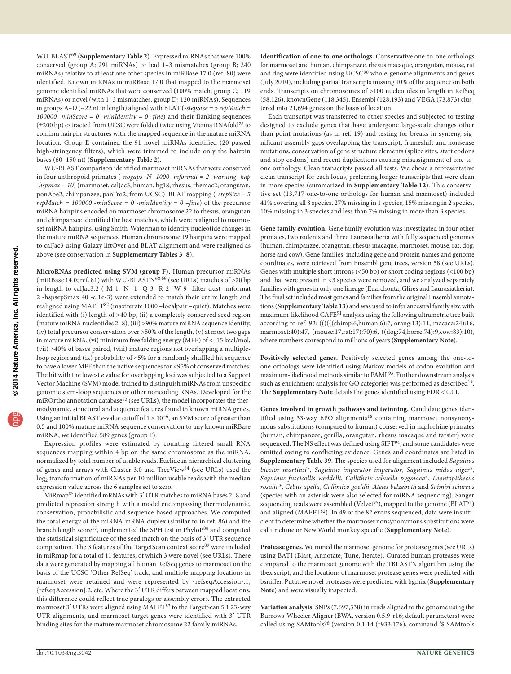WU-BLAST[69](#page-10-18) (**Supplementary Table 2**). Expressed miRNAs that were 100% conserved (group A; 291 miRNAs) or had 1–3 mismatches (group B; 240 miRNAs) relative to at least one other species in miRBase 17.0 (ref. [80](#page-10-29)) were identified. Known miRNAs in miRBase 17.0 that mapped to the marmoset genome identified miRNAs that were conserved (100% match, group C; 119 miRNAs) or novel (with 1–3 mismatches, group D; 120 miRNAs). Sequences in groups A–D (~22 nt in length) aligned with BLAT (*-stepSize = 5 repMatch = 100000 -minScore = 0 -minIdentity = 0 -fine*) and their flanking sequences (±200 bp) extracted from UCSC were folded twice using Vienna RNAfold[78](#page-10-27) to confirm hairpin structures with the mapped sequence in the mature miRNA location. Group E contained the 91 novel miRNAs identified (20 passed high-stringency filters), which were trimmed to include only the hairpin bases (60–150 nt) (**Supplementary Table 2**).

WU-BLAST comparison identified marmoset miRNAs that were conserved in four anthropoid primates (*-nogaps -N -1000 -mformat = 2 -warning -kap -hspmax = 10*) (marmoset, calJac3; human, hg18; rhesus, rhemac2; orangutan, ponAbe2; chimpanzee, panTro2; from UCSC). BLAT mapping (*-stepSize = 5 repMatch = 100000 -minScore = 0 -minIdentity = 0 –fine*) of the precursor miRNA hairpins encoded on marmoset chromosome 22 to rhesus, orangutan and chimpanzee identified the best matches, which were realigned to marmoset miRNA hairpins, using Smith-Waterman to identify nucleotide changes in the mature miRNA sequences. Human chromosome 19 hairpins were mapped to calJac3 using Galaxy liftOver and BLAT alignment and were realigned as above (see conservation in **Supplementary Tables 3**–**8**).

**MicroRNAs predicted using SVM (group F).** Human precursor miRNAs (miRBase 14.0; ref. [81](#page-10-30)) with WU-BLASTN<sup>[68,](#page-10-17)69</sup> (see URLs) matches of >20 bp in length to calJac3.2 (-M 1 -N -1 -Q 3 -R 2 -W 9 -filter dust -mformat 2 -hspsepSmax 40 -e 1e-3) were extended to match their entire length and realigned using MAFFT[82](#page-10-31) (maxiterate 1000 –localpair –quiet). Matches were identified with (i) length of >40 bp, (ii) a completely conserved seed region (mature miRNA nucleotides 2–8), (iii) >90% mature miRNA sequence identity, (iv) total precursor conservation over >50% of the length, (v) at most two gaps in mature miRNA, (vi) minimum free folding energy (MFE) of <–15 kcal/mol, (vii) >40% of bases paired, (viii) mature regions not overlapping a multipleloop region and (ix) probability of <5% for a randomly shuffled hit sequence to have a lower MFE than the native sequences for <95% of conserved matches. The hit with the lowest *e* value for overlapping loci was subjected to a Support Vector Machine (SVM) model trained to distinguish miRNAs from unspecific genomic stem-loop sequences or other noncoding RNAs. Developed for the miROrtho annotation database $83$  (see URLs), the model incorporates the thermodynamic, structural and sequence features found in known miRNA genes. Using an initial BLAST *e*-value cutoff of 1 × 10−6, an SVM score of greater than 0.5 and 100% mature miRNA sequence conservation to any known miRBase miRNA, we identified 589 genes (group F).

Expression profiles were estimated by counting filtered small RNA sequences mapping within 4 bp on the same chromosome as the miRNA, normalized by total number of usable reads. Euclidean hierarchical clustering of genes and arrays with Cluster 3.0 and TreeView[84](#page-10-33) (see URLs) used the log<sub>2</sub> transformation of miRNAs per 10 million usable reads with the median expression value across the 6 samples set to zero.

MiRmap[85](#page-10-34) identified mRNAs with 3′ UTR matches to miRNA bases 2–8 and predicted repression strength with a model encompassing thermodynamic, conservation, probabilistic and sequence-based approaches. We computed the total energy of the miRNA-mRNA duplex (similar to in ref. [86\)](#page-10-35) and the branch length score[87](#page-10-36), implemented the SPH test in PhyloP[88](#page-10-37) and computed the statistical significance of the seed match on the basis of 3′ UTR sequence composition. The 3 features of the TargetScan context score<sup>89</sup> were included in miRmap for a total of 11 features, of which 3 were novel (see URLs). These data were generated by mapping all human RefSeq genes to marmoset on the basis of the UCSC 'Other RefSeq' track, and multiple mapping locations in marmoset were retained and were represented by {refseqAccession}.1, {refseqAccession}.2, etc. Where the 3′ UTR differs between mapped locations, this difference could reflect true paralogs or assembly errors. The extracted marmoset 3' UTRs were aligned using MAFFT<sup>[82](#page-10-31)</sup> to the TargetScan 5.1 23-way UTR alignments, and marmoset target genes were identified with 3′ UTR binding sites for the mature marmoset chromosome 22 family miRNAs.

**Identification of one-to-one orthologs.** Conservative one-to-one orthologs for marmoset and human, chimpanzee, rhesus macaque, orangutan, mouse, rat and dog were identified using UCSC<sup>90</sup> whole-genome alignments and genes (July 2010), including partial transcripts missing 10% of the sequence on both ends. Transcripts on chromosomes of >100 nucleotides in length in RefSeq (58,126), knownGene (118,345), Ensembl (128,193) and VEGA (73,873) clustered into 21,694 genes on the basis of location.

Each transcript was transferred to other species and subjected to testing designed to exclude genes that have undergone large-scale changes other than point mutations (as in ref. [19](#page-6-10)) and testing for breaks in synteny, significant assembly gaps overlapping the transcript, frameshift and nonsense mutations, conservation of gene structure elements (splice sites, start codons and stop codons) and recent duplications causing misassignment of one-toone orthology. Clean transcripts passed all tests. We chose a representative clean transcript for each locus, preferring longer transcripts that were clean in more species (summarized in **Supplementary Table 12**). This conservative set (13,717 one-to-one orthologs for human and marmoset) included 41% covering all 8 species, 27% missing in 1 species, 15% missing in 2 species, 10% missing in 3 species and less than 7% missing in more than 3 species.

**Gene family evolution.** Gene family evolution was investigated in four other primates, two rodents and three Laurasiatheria with fully sequenced genomes (human, chimpanzee, orangutan, rhesus macaque, marmoset, mouse, rat, dog, horse and cow). Gene families, including gene and protein names and genome coordinates, were retrieved from Ensembl gene trees, version 58 (see URLs). Genes with multiple short introns (<50 bp) or short coding regions (<100 bp) and that were present in <3 species were removed, and we analyzed separately families with genes in only one lineage (Euarchonta, Glires and Laurasiatheria). The final set included most genes and families from the original Ensembl annotations (**Supplementary Table 13**) and was used to infer ancestral family size with maximum-likelihood CAFE<sup>[91](#page-10-40)</sup> analysis using the following ultrametric tree built according to ref. [92:](#page-10-41) ((((((chimp:6,human:6):7, orang:13):11, macaca:24):16, marmoset:40):47, (mouse:17,rat:17):70):6, ((dog:74,horse:74):9,cow:83):10), where numbers correspond to millions of years (**Supplementary Note**).

**Positively selected genes.** Positively selected genes among the one-toone orthologs were identified using Markov models of codon evolution and maximum-likelihood methods similar to PAML<sup>[93](#page-10-42)</sup>. Further downstream analysis such as enrichment analysis for GO categories was performed as described<sup>19</sup>. The **Supplementary Note** details the genes identified using FDR < 0.01.

**Genes involved in growth pathways and twinning.** Candidate genes iden-tified using 33-way EPO alignments<sup>[18](#page-6-9)</sup> containing marmoset nonsynonymous substitutions (compared to human) conserved in haplorhine primates (human, chimpanzee, gorilla, orangutan, rhesus macaque and tarsier) were sequenced. The NS effect was defined using SIFT<sup>94</sup>, and some candidates were omitted owing to conflicting evidence. Genes and coordinates are listed in **Supplementary Table 39**. The species used for alignment included *Saguinus bicolor martinsi*\*, *Saguinus imperator imperator*, *Saguinus midas niger*\*, *Saguinus fuscicollis weddelli*, *Callithrix cebuella pygmaea*\*, *Leontopithecus rosalia*\*, *Cebus apella*, *Callimico goeldii*, *Ateles belzebuth* and *Saimiri sciureus* (species with an asterisk were also selected for miRNA sequencing). Sanger sequencing reads were assembled (Velvet<sup>95</sup>), mapped to the genome (BLAT<sup>51</sup>) and aligned (MAFFT<sup>[82](#page-10-31)</sup>). In 49 of the 82 exons sequenced, data were insufficient to determine whether the marmoset nonsynonymous substitutions were callitrichine or New World monkey specific (**Supplementary Note**).

**Protease genes.** We mined the marmoset genome for protease genes (see URLs) using BATI (Blast, Annotate, Tune, Iterate). Curated human proteases were compared to the marmoset genome with the TBLASTN algorithm using the tbex script, and the locations of marmoset protease genes were predicted with bsniffer. Putative novel proteases were predicted with bgmix (**Supplementary Note**) and were visually inspected.

**Variation analysis.** SNPs (7,697,538) in reads aligned to the genome using the Burrows-Wheeler Aligner (BWA, version 0.5.9-r16; default parameters) were called using SAMtools<sup>[96](#page-10-45)</sup> (version 0.1.14 (r933:176); command '\$ SAMtools